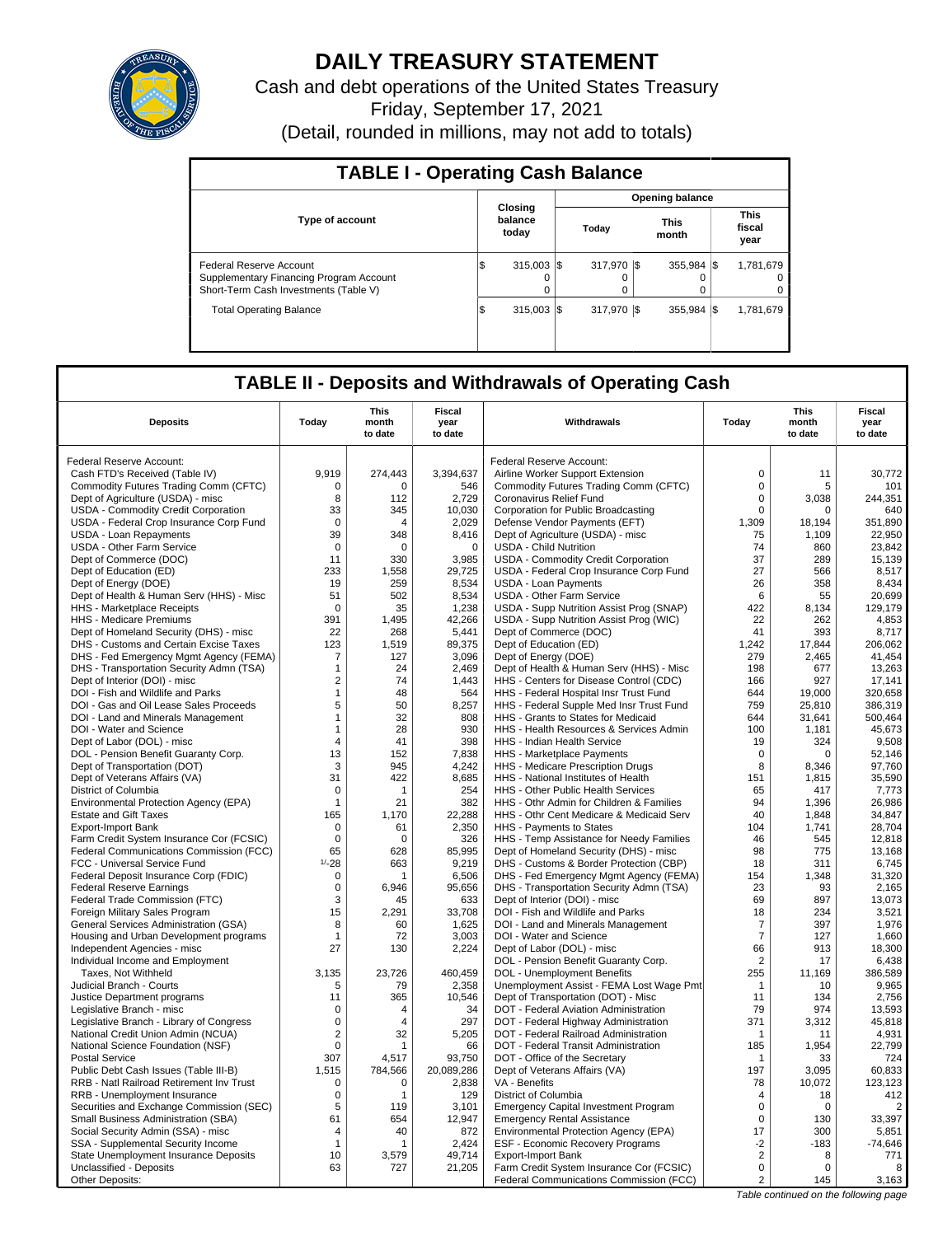

# **DAILY TREASURY STATEMENT**

Cash and debt operations of the United States Treasury Friday, September 17, 2021 (Detail, rounded in millions, may not add to totals)

| <b>TABLE I - Operating Cash Balance</b>                                                                     |                             |  |                        |  |                                 |  |                                   |  |  |  |  |
|-------------------------------------------------------------------------------------------------------------|-----------------------------|--|------------------------|--|---------------------------------|--|-----------------------------------|--|--|--|--|
|                                                                                                             |                             |  |                        |  | <b>Opening balance</b>          |  |                                   |  |  |  |  |
| <b>Type of account</b>                                                                                      | Closina<br>balance<br>today |  | Today                  |  | <b>This</b><br>month            |  | <b>This</b><br>fiscal<br>year     |  |  |  |  |
| Federal Reserve Account<br>Supplementary Financing Program Account<br>Short-Term Cash Investments (Table V) | $315.003$ S<br>ß.           |  | 317.970 \$<br>$\Omega$ |  | $355.984$ $\sqrt{\$}$<br>0<br>0 |  | 1,781,679<br>$\Omega$<br>$\Omega$ |  |  |  |  |
| <b>Total Operating Balance</b>                                                                              | $315.003$ S<br>1\$          |  | 317.970 \\$            |  | $355.984$ $\frac{1}{3}$         |  | 1,781,679                         |  |  |  |  |

# **TABLE II - Deposits and Withdrawals of Operating Cash**

| <b>Deposits</b>                                                       | Today           | This<br>month<br>to date | Fiscal<br>year<br>to date | Withdrawals                                                                       | Today          | <b>This</b><br>month<br>to date | <b>Fiscal</b><br>year<br>to date |
|-----------------------------------------------------------------------|-----------------|--------------------------|---------------------------|-----------------------------------------------------------------------------------|----------------|---------------------------------|----------------------------------|
| Federal Reserve Account:                                              |                 |                          |                           | Federal Reserve Account:                                                          |                |                                 |                                  |
| Cash FTD's Received (Table IV)                                        | 9,919           | 274,443                  | 3,394,637                 | Airline Worker Support Extension                                                  | $\mathbf 0$    | 11                              | 30,772                           |
| Commodity Futures Trading Comm (CFTC)                                 | 0               | 0                        | 546                       | Commodity Futures Trading Comm (CFTC)                                             | $\mathbf 0$    | 5                               | 101                              |
| Dept of Agriculture (USDA) - misc                                     | 8               | 112                      | 2,729                     | Coronavirus Relief Fund                                                           | $\mathbf 0$    | 3,038                           | 244,351                          |
| <b>USDA - Commodity Credit Corporation</b>                            | 33              | 345                      | 10,030                    | Corporation for Public Broadcasting                                               | $\mathbf 0$    | $\Omega$                        | 640                              |
| USDA - Federal Crop Insurance Corp Fund                               | $\Omega$        | Δ                        | 2,029                     | Defense Vendor Payments (EFT)                                                     | 1,309          | 18.194                          | 351,890                          |
| <b>USDA - Loan Repayments</b>                                         | 39              | 348                      | 8,416                     | Dept of Agriculture (USDA) - misc                                                 | 75             | 1,109                           | 22,950                           |
| USDA - Other Farm Service                                             | $\mathbf 0$     | 0                        | $\mathbf 0$               | <b>USDA - Child Nutrition</b>                                                     | 74             | 860                             | 23,842                           |
| Dept of Commerce (DOC)                                                | 11              | 330                      | 3,985                     | USDA - Commodity Credit Corporation                                               | 37             | 289                             | 15,139                           |
| Dept of Education (ED)                                                | 233             | 1,558                    | 29,725                    | USDA - Federal Crop Insurance Corp Fund                                           | 27             | 566                             | 8,517                            |
| Dept of Energy (DOE)                                                  | 19              | 259                      | 8,534                     | <b>USDA - Loan Payments</b>                                                       | 26             | 358                             | 8,434                            |
| Dept of Health & Human Serv (HHS) - Misc                              | 51              | 502                      | 8,534                     | <b>USDA - Other Farm Service</b>                                                  | 6              | 55                              | 20,699                           |
| HHS - Marketplace Receipts                                            | $\mathbf 0$     | 35                       | 1,238                     | USDA - Supp Nutrition Assist Prog (SNAP)                                          | 422            | 8,134                           | 129,179                          |
| HHS - Medicare Premiums                                               | 391             | 1,495                    | 42,266                    | USDA - Supp Nutrition Assist Prog (WIC)                                           | 22             | 262                             | 4,853                            |
| Dept of Homeland Security (DHS) - misc                                | 22              | 268                      | 5,441                     | Dept of Commerce (DOC)                                                            | 41             | 393                             | 8,717                            |
| DHS - Customs and Certain Excise Taxes                                | 123             | 1,519                    | 89,375                    | Dept of Education (ED)                                                            | 1,242          | 17,844                          | 206,062                          |
| DHS - Fed Emergency Mgmt Agency (FEMA)                                | 7               | 127                      | 3.096                     | Dept of Energy (DOE)                                                              | 279            | 2.465                           | 41.454                           |
| DHS - Transportation Security Admn (TSA)                              | $\mathbf{1}$    | 24                       | 2,469                     | Dept of Health & Human Serv (HHS) - Misc                                          | 198            | 677                             | 13,263                           |
| Dept of Interior (DOI) - misc                                         | $\overline{2}$  | 74                       | 1.443                     | HHS - Centers for Disease Control (CDC)                                           | 166            | 927                             | 17.141                           |
| DOI - Fish and Wildlife and Parks                                     | $\mathbf{1}$    | 48                       | 564                       | HHS - Federal Hospital Insr Trust Fund                                            | 644            | 19,000                          | 320,658                          |
| DOI - Gas and Oil Lease Sales Proceeds                                | 5               | 50                       | 8,257                     | HHS - Federal Supple Med Insr Trust Fund                                          | 759            | 25,810                          | 386,319                          |
| DOI - Land and Minerals Management                                    | $\mathbf{1}$    | 32                       | 808                       | HHS - Grants to States for Medicaid                                               | 644            | 31.641                          | 500.464                          |
| DOI - Water and Science                                               | $\mathbf{1}$    | 28                       | 930                       | HHS - Health Resources & Services Admin                                           | 100            | 1,181                           | 45,673                           |
| Dept of Labor (DOL) - misc                                            | $\overline{4}$  | 41                       | 398                       | <b>HHS - Indian Health Service</b>                                                | 19             | 324                             | 9.508                            |
| DOL - Pension Benefit Guaranty Corp.                                  | 13              | 152                      | 7,838                     | HHS - Marketplace Payments                                                        | $\mathbf 0$    | $\mathbf 0$                     | 52,146                           |
| Dept of Transportation (DOT)                                          | 3               | 945                      | 4,242                     | HHS - Medicare Prescription Drugs                                                 | 8              | 8.346                           | 97,760                           |
| Dept of Veterans Affairs (VA)                                         | 31              | 422                      | 8,685                     | HHS - National Institutes of Health                                               | 151            | 1,815                           | 35,590                           |
| District of Columbia                                                  | $\mathbf 0$     | $\mathbf{1}$             | 254                       | HHS - Other Public Health Services                                                | 65             | 417                             | 7,773                            |
| Environmental Protection Agency (EPA)                                 | $\mathbf{1}$    | 21                       | 382                       | HHS - Othr Admin for Children & Families                                          | 94             | 1,396                           | 26,986                           |
| <b>Estate and Gift Taxes</b>                                          | 165             | 1,170                    | 22,288                    | HHS - Othr Cent Medicare & Medicaid Serv                                          | 40             | 1,848                           | 34,847                           |
| <b>Export-Import Bank</b>                                             | $\Omega$        | 61                       | 2,350                     | HHS - Payments to States                                                          | 104            | 1,741                           | 28.704                           |
| Farm Credit System Insurance Cor (FCSIC)                              | $\mathbf 0$     | $\mathbf 0$<br>628       | 326                       | HHS - Temp Assistance for Needy Families                                          | 46<br>98       | 545                             | 12,818                           |
| Federal Communications Commission (FCC)                               | 65<br>$1/ - 28$ | 663                      | 85,995                    | Dept of Homeland Security (DHS) - misc                                            | 18             | 775<br>311                      | 13,168                           |
| FCC - Universal Service Fund<br>Federal Deposit Insurance Corp (FDIC) | $\mathbf 0$     | 1                        | 9,219<br>6,506            | DHS - Customs & Border Protection (CBP)<br>DHS - Fed Emergency Mgmt Agency (FEMA) | 154            | 1,348                           | 6,745<br>31,320                  |
| <b>Federal Reserve Earnings</b>                                       | $\mathbf 0$     | 6.946                    | 95,656                    | DHS - Transportation Security Admn (TSA)                                          | 23             | 93                              | 2,165                            |
| Federal Trade Commission (FTC)                                        | 3               | 45                       | 633                       | Dept of Interior (DOI) - misc                                                     | 69             | 897                             | 13,073                           |
| Foreign Military Sales Program                                        | 15              | 2,291                    | 33,708                    | DOI - Fish and Wildlife and Parks                                                 | 18             | 234                             | 3,521                            |
| General Services Administration (GSA)                                 | 8               | 60                       | 1,625                     | DOI - Land and Minerals Management                                                | $\overline{7}$ | 397                             | 1,976                            |
| Housing and Urban Development programs                                | $\mathbf 1$     | 72                       | 3,003                     | DOI - Water and Science                                                           | $\overline{7}$ | 127                             | 1,660                            |
| Independent Agencies - misc                                           | 27              | 130                      | 2,224                     | Dept of Labor (DOL) - misc                                                        | 66             | 913                             | 18,300                           |
| Individual Income and Employment                                      |                 |                          |                           | DOL - Pension Benefit Guaranty Corp.                                              | $\overline{2}$ | 17                              | 6,438                            |
| Taxes, Not Withheld                                                   | 3,135           | 23,726                   | 460,459                   | DOL - Unemployment Benefits                                                       | 255            | 11,169                          | 386,589                          |
| Judicial Branch - Courts                                              | 5               | 79                       | 2,358                     | Unemployment Assist - FEMA Lost Wage Pmt                                          | $\mathbf{1}$   | 10                              | 9.965                            |
| Justice Department programs                                           | 11              | 365                      | 10,546                    | Dept of Transportation (DOT) - Misc                                               | 11             | 134                             | 2,756                            |
| Legislative Branch - misc                                             | $\mathbf 0$     | 4                        | 34                        | DOT - Federal Aviation Administration                                             | 79             | 974                             | 13,593                           |
| Legislative Branch - Library of Congress                              | $\mathbf 0$     | 4                        | 297                       | DOT - Federal Highway Administration                                              | 371            | 3,312                           | 45,818                           |
| National Credit Union Admin (NCUA)                                    | $\overline{c}$  | 32                       | 5,205                     | DOT - Federal Railroad Administration                                             | $\overline{1}$ | 11                              | 4,931                            |
| National Science Foundation (NSF)                                     | $\mathbf 0$     | 1                        | 66                        | DOT - Federal Transit Administration                                              | 185            | 1,954                           | 22.799                           |
| <b>Postal Service</b>                                                 | 307             | 4,517                    | 93,750                    | DOT - Office of the Secretary                                                     | -1             | 33                              | 724                              |
| Public Debt Cash Issues (Table III-B)                                 | 1.515           | 784,566                  | 20,089,286                | Dept of Veterans Affairs (VA)                                                     | 197            | 3,095                           | 60,833                           |
| RRB - Natl Railroad Retirement Inv Trust                              | 0               | 0                        | 2,838                     | VA - Benefits                                                                     | 78             | 10.072                          | 123,123                          |
| RRB - Unemployment Insurance                                          | 0               | 1                        | 129                       | District of Columbia                                                              | $\overline{4}$ | 18                              | 412                              |
| Securities and Exchange Commission (SEC)                              | 5               | 119                      | 3.101                     | <b>Emergency Capital Investment Program</b>                                       | $\mathbf 0$    | $\Omega$                        | $\overline{2}$                   |
| Small Business Administration (SBA)                                   | 61              | 654                      | 12,947                    | <b>Emergency Rental Assistance</b>                                                | $\mathbf 0$    | 130                             | 33,397                           |
| Social Security Admin (SSA) - misc                                    | 4               | 40                       | 872                       | Environmental Protection Agency (EPA)                                             | 17             | 300                             | 5,851                            |
| SSA - Supplemental Security Income                                    | $\mathbf{1}$    | 1                        | 2,424                     | ESF - Economic Recovery Programs                                                  | $-2$           | $-183$                          | $-74,646$                        |
| State Unemployment Insurance Deposits                                 | 10              | 3,579                    | 49,714                    | <b>Export-Import Bank</b>                                                         | $\overline{2}$ | 8                               | 771                              |
| Unclassified - Deposits                                               | 63              | 727                      | 21,205                    | Farm Credit System Insurance Cor (FCSIC)                                          | $\mathsf 0$    | $\Omega$                        | 8                                |
| Other Deposits:                                                       |                 |                          |                           | Federal Communications Commission (FCC)                                           | 2              | 145                             | 3,163                            |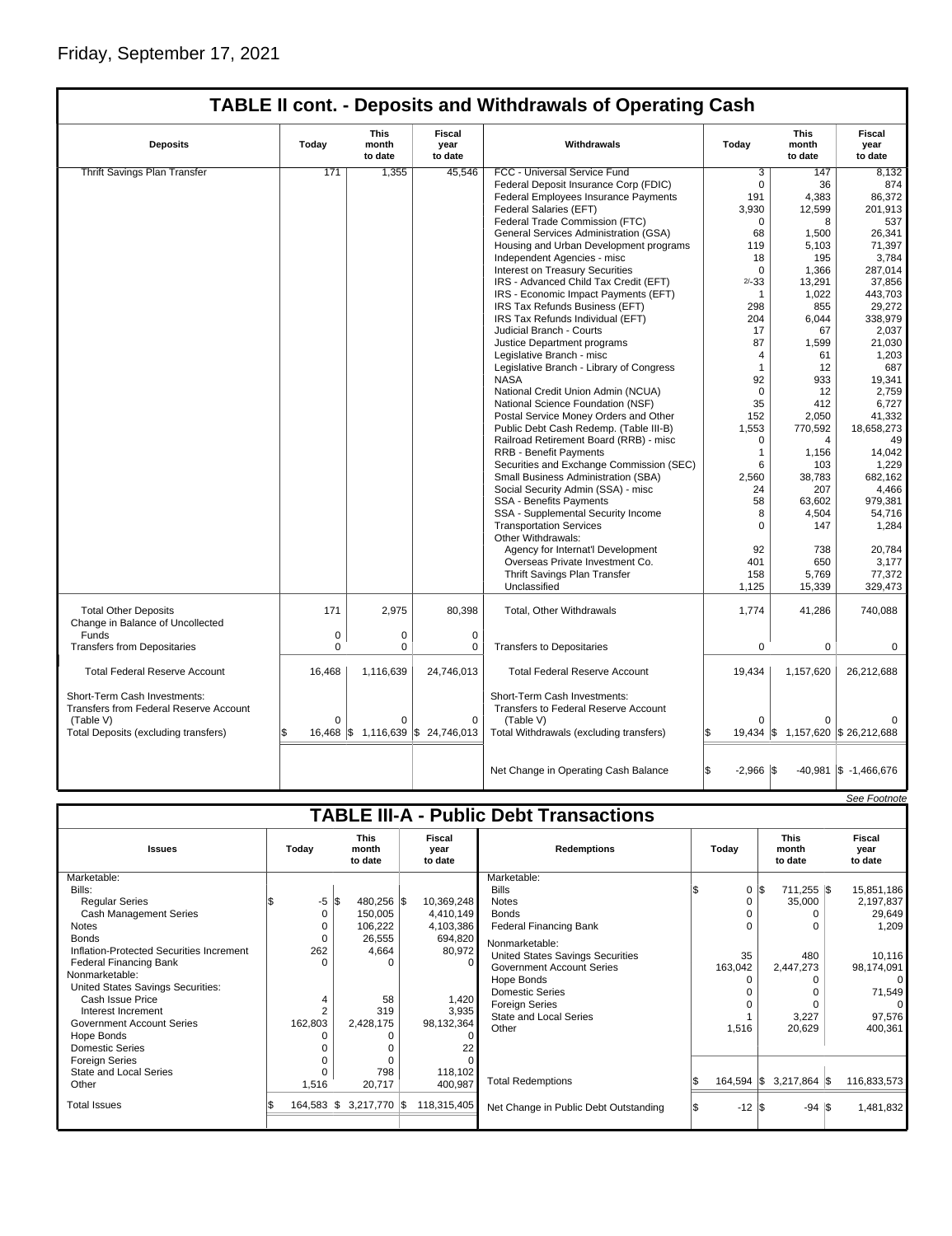|                                                                        |             |                                   |                                  | <b>TABLE II cont. - Deposits and Withdrawals of Operating Cash</b>        |                            |                                   |                                  |
|------------------------------------------------------------------------|-------------|-----------------------------------|----------------------------------|---------------------------------------------------------------------------|----------------------------|-----------------------------------|----------------------------------|
| <b>Deposits</b>                                                        | Today       | This<br>month<br>to date          | <b>Fiscal</b><br>vear<br>to date | Withdrawals                                                               | Todav                      | <b>This</b><br>month<br>to date   | <b>Fiscal</b><br>vear<br>to date |
| Thrift Savings Plan Transfer                                           | 171         | 1,355                             | 45.546                           | FCC - Universal Service Fund                                              | 3                          | 147                               | 8,132                            |
|                                                                        |             |                                   |                                  | Federal Deposit Insurance Corp (FDIC)                                     | $\mathbf 0$                | 36                                | 874                              |
|                                                                        |             |                                   |                                  | Federal Employees Insurance Payments                                      | 191                        | 4,383                             | 86,372                           |
|                                                                        |             |                                   |                                  | Federal Salaries (EFT)                                                    | 3,930                      | 12,599                            | 201.913                          |
|                                                                        |             |                                   |                                  | Federal Trade Commission (FTC)                                            | $\mathbf 0$                | 8                                 | 537                              |
|                                                                        |             |                                   |                                  | General Services Administration (GSA)                                     | 68                         | 1,500                             | 26,341                           |
|                                                                        |             |                                   |                                  | Housing and Urban Development programs                                    | 119                        | 5,103                             | 71,397                           |
|                                                                        |             |                                   |                                  | Independent Agencies - misc                                               | 18                         | 195                               | 3,784                            |
|                                                                        |             |                                   |                                  | Interest on Treasury Securities                                           | $\Omega$                   | 1.366                             | 287,014                          |
|                                                                        |             |                                   |                                  | IRS - Advanced Child Tax Credit (EFT)                                     | $2/-33$                    | 13,291                            | 37,856                           |
|                                                                        |             |                                   |                                  | IRS - Economic Impact Payments (EFT)                                      | $\mathbf{1}$               | 1,022                             | 443,703                          |
|                                                                        |             |                                   |                                  | IRS Tax Refunds Business (EFT)                                            | 298                        | 855                               | 29,272                           |
|                                                                        |             |                                   |                                  | IRS Tax Refunds Individual (EFT)                                          | 204                        | 6,044                             | 338,979                          |
|                                                                        |             |                                   |                                  | Judicial Branch - Courts                                                  | 17                         | 67                                | 2,037                            |
|                                                                        |             |                                   |                                  | Justice Department programs                                               | 87                         | 1,599                             | 21,030                           |
|                                                                        |             |                                   |                                  | Legislative Branch - misc                                                 | 4                          | 61                                | 1,203                            |
|                                                                        |             |                                   |                                  | Legislative Branch - Library of Congress                                  | $\mathbf{1}$               | 12                                | 687                              |
|                                                                        |             |                                   |                                  | <b>NASA</b>                                                               | 92                         | 933                               | 19,341                           |
|                                                                        |             |                                   |                                  | National Credit Union Admin (NCUA)                                        | $\mathbf 0$                | 12                                | 2,759                            |
|                                                                        |             |                                   |                                  | National Science Foundation (NSF)                                         | 35                         | 412                               | 6,727                            |
|                                                                        |             |                                   |                                  | Postal Service Money Orders and Other                                     | 152                        | 2,050                             | 41,332                           |
|                                                                        |             |                                   |                                  | Public Debt Cash Redemp. (Table III-B)                                    | 1,553                      | 770,592                           | 18,658,273                       |
|                                                                        |             |                                   |                                  | Railroad Retirement Board (RRB) - misc                                    | $\mathbf 0$                | $\overline{4}$                    | 49                               |
|                                                                        |             |                                   |                                  |                                                                           | $\mathbf{1}$               |                                   |                                  |
|                                                                        |             |                                   |                                  | <b>RRB - Benefit Payments</b><br>Securities and Exchange Commission (SEC) | 6                          | 1,156<br>103                      | 14,042<br>1,229                  |
|                                                                        |             |                                   |                                  |                                                                           |                            |                                   |                                  |
|                                                                        |             |                                   |                                  | Small Business Administration (SBA)                                       | 2,560                      | 38,783                            | 682,162                          |
|                                                                        |             |                                   |                                  | Social Security Admin (SSA) - misc                                        | 24                         | 207                               | 4,466                            |
|                                                                        |             |                                   |                                  | <b>SSA - Benefits Payments</b>                                            | 58                         | 63,602                            | 979,381                          |
|                                                                        |             |                                   |                                  | SSA - Supplemental Security Income                                        | 8<br>$\Omega$              | 4,504<br>147                      | 54,716                           |
|                                                                        |             |                                   |                                  | <b>Transportation Services</b>                                            |                            |                                   | 1,284                            |
|                                                                        |             |                                   |                                  | Other Withdrawals:                                                        |                            |                                   |                                  |
|                                                                        |             |                                   |                                  | Agency for Internat'l Development                                         | 92                         | 738                               | 20,784                           |
|                                                                        |             |                                   |                                  | Overseas Private Investment Co.                                           | 401                        | 650                               | 3,177                            |
|                                                                        |             |                                   |                                  | Thrift Savings Plan Transfer<br>Unclassified                              | 158                        | 5,769                             | 77,372<br>329,473                |
|                                                                        |             |                                   |                                  |                                                                           | 1,125                      | 15,339                            |                                  |
| <b>Total Other Deposits</b><br>Change in Balance of Uncollected        | 171         | 2,975                             | 80,398                           | Total, Other Withdrawals                                                  | 1,774                      | 41,286                            | 740,088                          |
| Funds                                                                  | $\mathbf 0$ | $\mathbf 0$                       | $\mathbf 0$                      |                                                                           |                            |                                   |                                  |
| <b>Transfers from Depositaries</b>                                     | 0           | 0                                 | 0                                | <b>Transfers to Depositaries</b>                                          | $\mathbf 0$                | 0                                 | 0                                |
|                                                                        |             |                                   |                                  |                                                                           |                            |                                   |                                  |
| <b>Total Federal Reserve Account</b>                                   | 16,468      | 1,116,639                         | 24,746,013                       | <b>Total Federal Reserve Account</b>                                      | 19,434                     | 1,157,620                         | 26,212,688                       |
| Short-Term Cash Investments:<br>Transfers from Federal Reserve Account |             |                                   |                                  | Short-Term Cash Investments:<br>Transfers to Federal Reserve Account      |                            |                                   |                                  |
| (Table V)                                                              | $\Omega$    | 0                                 | 0                                | (Table V)                                                                 |                            |                                   |                                  |
| Total Deposits (excluding transfers)                                   | ፍ           | 16,468 \$ 1,116,639 \$ 24,746,013 |                                  | Total Withdrawals (excluding transfers)                                   |                            | 19,434 \$ 1,157,620 \$ 26,212,688 |                                  |
|                                                                        |             |                                   |                                  |                                                                           |                            |                                   |                                  |
|                                                                        |             |                                   |                                  | Net Change in Operating Cash Balance                                      | l\$<br>$-2,966$ $\sqrt{3}$ |                                   | $-40,981$ $\sqrt{5}$ -1,466,676  |

|                                               |       |                 |                                 |              |                           |             |                                       |       |                  |                                 |                  |  | See Footnote              |
|-----------------------------------------------|-------|-----------------|---------------------------------|--------------|---------------------------|-------------|---------------------------------------|-------|------------------|---------------------------------|------------------|--|---------------------------|
| <b>TABLE III-A - Public Debt Transactions</b> |       |                 |                                 |              |                           |             |                                       |       |                  |                                 |                  |  |                           |
| <b>Issues</b>                                 | Today |                 | <b>This</b><br>month<br>to date |              | Fiscal<br>year<br>to date |             | <b>Redemptions</b>                    | Todav |                  | <b>This</b><br>month<br>to date |                  |  | Fiscal<br>year<br>to date |
| Marketable:                                   |       |                 |                                 |              |                           |             | Marketable:                           |       |                  |                                 |                  |  |                           |
| Bills:                                        |       |                 |                                 |              |                           |             | <b>Bills</b>                          |       | $\mathbf{0}$     |                                 | 711,255 \$       |  | 15,851,186                |
| <b>Regular Series</b>                         |       | $-5$ $\sqrt{3}$ |                                 | 480,256 \$   |                           | 10,369,248  | <b>Notes</b>                          |       | 0                |                                 | 35,000           |  | 2,197,837                 |
| <b>Cash Management Series</b>                 |       | 0               |                                 | 150,005      |                           | 4,410,149   | <b>Bonds</b>                          |       |                  |                                 |                  |  | 29,649                    |
| <b>Notes</b>                                  |       |                 |                                 | 106,222      |                           | 4,103,386   | <b>Federal Financing Bank</b>         |       | 0                |                                 |                  |  | 1,209                     |
| <b>Bonds</b>                                  |       |                 |                                 | 26,555       |                           | 694,820     | Nonmarketable:                        |       |                  |                                 |                  |  |                           |
| Inflation-Protected Securities Increment      |       | 262             |                                 | 4,664        |                           | 80,972      | United States Savings Securities      |       | 35               |                                 | 480              |  | 10,116                    |
| <b>Federal Financing Bank</b>                 |       |                 |                                 | $\Omega$     |                           | $\Omega$    | Government Account Series             |       | 163,042          |                                 | 2,447,273        |  | 98,174,091                |
| Nonmarketable:                                |       |                 |                                 |              |                           |             | Hope Bonds                            |       |                  |                                 |                  |  | 0                         |
| United States Savings Securities:             |       |                 |                                 |              |                           |             | <b>Domestic Series</b>                |       |                  |                                 |                  |  | 71,549                    |
| Cash Issue Price                              |       |                 |                                 | 58           |                           | 1,420       | <b>Foreign Series</b>                 |       |                  |                                 |                  |  |                           |
| Interest Increment                            |       |                 |                                 | 319          |                           | 3,935       | <b>State and Local Series</b>         |       |                  |                                 | 3,227            |  | 97,576                    |
| <b>Government Account Series</b>              |       | 162,803         |                                 | 2,428,175    |                           | 98,132,364  | Other                                 |       | 1,516            |                                 | 20,629           |  | 400,361                   |
| Hope Bonds                                    |       |                 |                                 |              |                           |             |                                       |       |                  |                                 |                  |  |                           |
| <b>Domestic Series</b>                        |       |                 |                                 | $\Omega$     |                           | 22          |                                       |       |                  |                                 |                  |  |                           |
| <b>Foreign Series</b>                         |       |                 |                                 | $\Omega$     |                           |             |                                       |       |                  |                                 |                  |  |                           |
| State and Local Series                        |       |                 |                                 | 798          |                           | 118,102     |                                       |       |                  |                                 |                  |  |                           |
| Other                                         |       | 1,516           |                                 | 20,717       |                           | 400,987     | <b>Total Redemptions</b>              |       | $164,594$ \$     |                                 | $3,217,864$ \$   |  | 116,833,573               |
| <b>Total Issues</b>                           |       | 164,583         | ß.                              | 3,217,770 \$ |                           | 118,315,405 | Net Change in Public Debt Outstanding |       | $-12$ $\sqrt{3}$ |                                 | $-94$ $\sqrt{5}$ |  | 1,481,832                 |
|                                               |       |                 |                                 |              |                           |             |                                       |       |                  |                                 |                  |  |                           |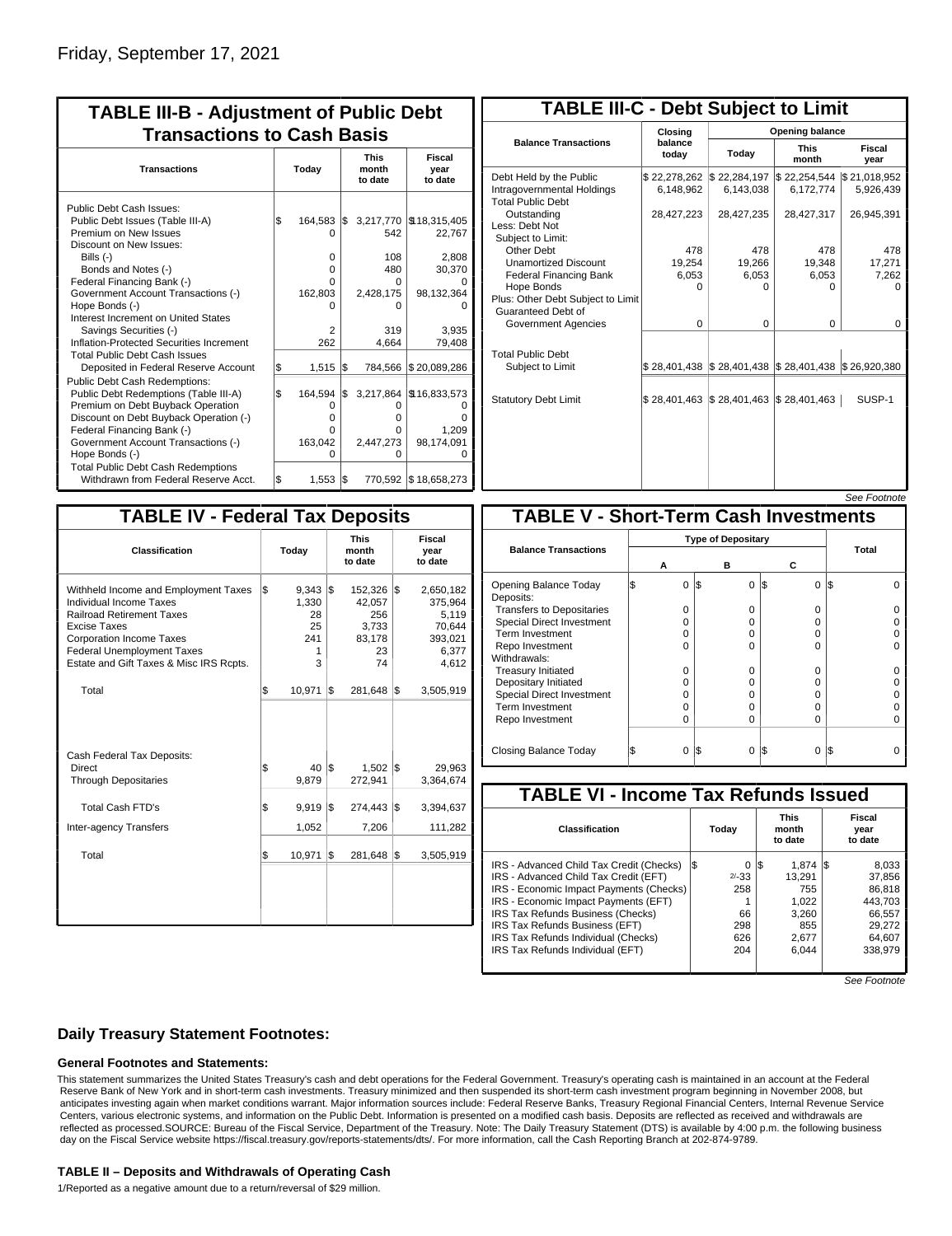| <b>TABLE III-B - Adjustment of Public Debt</b><br><b>Transactions to Cash Basis</b>                                                                                                                                                                                                                                                                                              |           |                                                    |            |                                                                       |                                                                            |  |  |  |  |  |  |
|----------------------------------------------------------------------------------------------------------------------------------------------------------------------------------------------------------------------------------------------------------------------------------------------------------------------------------------------------------------------------------|-----------|----------------------------------------------------|------------|-----------------------------------------------------------------------|----------------------------------------------------------------------------|--|--|--|--|--|--|
| <b>Transactions</b>                                                                                                                                                                                                                                                                                                                                                              | Today     |                                                    |            | <b>This</b><br>month<br>to date                                       | <b>Fiscal</b><br>year<br>to date                                           |  |  |  |  |  |  |
| Public Debt Cash Issues:<br>Public Debt Issues (Table III-A)<br>Premium on New Issues<br>Discount on New Issues:<br>Bills (-)<br>Bonds and Notes (-)<br>Federal Financing Bank (-)<br>Government Account Transactions (-)<br>Hope Bonds (-)<br>Interest Increment on United States<br>Savings Securities (-)<br>Inflation-Protected Securities Increment                         | \$        | 164,583<br>O<br>0<br>0<br>n<br>162,803<br>2<br>262 | 1\$        | 3,217,770<br>542<br>108<br>480<br>0<br>2,428,175<br>0<br>319<br>4.664 | \$18,315,405<br>22,767<br>2,808<br>30,370<br>98,132,364<br>3.935<br>79,408 |  |  |  |  |  |  |
| <b>Total Public Debt Cash Issues</b><br>Deposited in Federal Reserve Account<br><b>Public Debt Cash Redemptions:</b><br>Public Debt Redemptions (Table III-A)<br>Premium on Debt Buyback Operation<br>Discount on Debt Buyback Operation (-)<br>Federal Financing Bank (-)<br>Government Account Transactions (-)<br>Hope Bonds (-)<br><b>Total Public Debt Cash Redemptions</b> | \$<br>l\$ | 1,515<br>164,594<br>O<br>o<br>o<br>163,042<br>O    | 1\$<br>1\$ | 784,566<br>3,217,864<br>O<br>0<br>0<br>2,447,273<br>O                 | \$20,089,286<br>\$16,833,573<br>Ω<br>n<br>1,209<br>98,174,091<br>O         |  |  |  |  |  |  |
| Withdrawn from Federal Reserve Acct.                                                                                                                                                                                                                                                                                                                                             | l\$       | $1,553$ $\sqrt{3}$                                 |            |                                                                       | 770,592 \$18,658,273                                                       |  |  |  |  |  |  |

| <b>TABLE III-C - Debt Subject to Limit</b>                                        |                           |                                                                            |                                                                                                     |                           |  |  |  |  |  |  |  |
|-----------------------------------------------------------------------------------|---------------------------|----------------------------------------------------------------------------|-----------------------------------------------------------------------------------------------------|---------------------------|--|--|--|--|--|--|--|
|                                                                                   | Closing                   | Opening balance                                                            |                                                                                                     |                           |  |  |  |  |  |  |  |
| <b>Balance Transactions</b>                                                       | balance<br>todav          | Today                                                                      | <b>This</b><br>month                                                                                | Fiscal<br>year            |  |  |  |  |  |  |  |
| Debt Held by the Public<br>Intragovernmental Holdings<br><b>Total Public Debt</b> | \$22,278,262<br>6,148,962 | \$22,284,197<br>6,143,038                                                  | \$22,254,544<br>6,172,774                                                                           | \$21,018,952<br>5,926,439 |  |  |  |  |  |  |  |
| Outstanding<br>Less: Debt Not<br>Subject to Limit:                                | 28,427,223                | 28,427,235                                                                 | 28,427,317                                                                                          | 26,945,391                |  |  |  |  |  |  |  |
| Other Debt                                                                        | 478                       | 478                                                                        | 478                                                                                                 | 478                       |  |  |  |  |  |  |  |
| <b>Unamortized Discount</b>                                                       | 19,254                    | 19,266                                                                     | 19,348                                                                                              | 17,271                    |  |  |  |  |  |  |  |
| <b>Federal Financing Bank</b>                                                     | 6,053                     | 6,053                                                                      | 6,053                                                                                               | 7,262                     |  |  |  |  |  |  |  |
| Hope Bonds                                                                        | ŋ                         | ი                                                                          | o                                                                                                   | n                         |  |  |  |  |  |  |  |
| Plus: Other Debt Subject to Limit<br><b>Guaranteed Debt of</b>                    |                           |                                                                            |                                                                                                     |                           |  |  |  |  |  |  |  |
| Government Agencies                                                               | $\Omega$                  | $\Omega$                                                                   | $\Omega$                                                                                            | $\Omega$                  |  |  |  |  |  |  |  |
| <b>Total Public Debt</b>                                                          |                           |                                                                            |                                                                                                     |                           |  |  |  |  |  |  |  |
| Subject to Limit                                                                  |                           |                                                                            | $\frac{1}{2}$ 28,401,438 $\frac{1}{2}$ 28,401,438 $\frac{1}{2}$ 28,401,438 $\frac{1}{2}$ 26,920,380 |                           |  |  |  |  |  |  |  |
| <b>Statutory Debt Limit</b>                                                       |                           | $\frac{1}{2}$ 28,401,463 $\frac{1}{2}$ 28,401,463 $\frac{1}{2}$ 28,401,463 |                                                                                                     | SUSP-1                    |  |  |  |  |  |  |  |
|                                                                                   |                           |                                                                            |                                                                                                     |                           |  |  |  |  |  |  |  |

See Footnote

| <b>TABLE IV - Federal Tax Deposits</b>                                                                                                                                                                                                 |       |                                                  |     |                                                         |     |                                                                      |
|----------------------------------------------------------------------------------------------------------------------------------------------------------------------------------------------------------------------------------------|-------|--------------------------------------------------|-----|---------------------------------------------------------|-----|----------------------------------------------------------------------|
| Classification                                                                                                                                                                                                                         | Today |                                                  |     | <b>This</b><br>month<br>to date                         |     | <b>Fiscal</b><br>year<br>to date                                     |
| Withheld Income and Employment Taxes<br>Individual Income Taxes<br><b>Railroad Retirement Taxes</b><br>Excise Taxes<br><b>Corporation Income Taxes</b><br><b>Federal Unemployment Taxes</b><br>Estate and Gift Taxes & Misc IRS Rcpts. | \$    | $9,343$ \$<br>1,330<br>28<br>25<br>241<br>1<br>3 |     | 152,326<br>42,057<br>256<br>3,733<br>83,178<br>23<br>74 | l\$ | 2,650,182<br>375,964<br>5,119<br>70,644<br>393,021<br>6,377<br>4,612 |
| Total                                                                                                                                                                                                                                  | \$    | 10,971                                           | S.  | 281,648                                                 | 1\$ | 3,505,919                                                            |
| Cash Federal Tax Deposits:<br><b>Direct</b><br><b>Through Depositaries</b>                                                                                                                                                             | \$    | 40<br>9,879                                      | l\$ | 1,502<br>272,941                                        | l\$ | 29,963<br>3,364,674                                                  |
| <b>Total Cash FTD's</b>                                                                                                                                                                                                                | \$    | 9,919                                            | l\$ | 274,443                                                 | 1\$ | 3,394,637                                                            |
| <b>Inter-agency Transfers</b>                                                                                                                                                                                                          |       | 1,052                                            |     | 7,206                                                   |     | 111,282                                                              |
| Total                                                                                                                                                                                                                                  | \$    | 10,971                                           | 1\$ | 281,648                                                 | 1\$ | 3,505,919                                                            |
|                                                                                                                                                                                                                                        |       |                                                  |     |                                                         |     |                                                                      |

|                                              |  |          |     |          |          |     | <i>oee roomole</i> |  |  |  |  |
|----------------------------------------------|--|----------|-----|----------|----------|-----|--------------------|--|--|--|--|
| <b>TABLE V - Short-Term Cash Investments</b> |  |          |     |          |          |     |                    |  |  |  |  |
|                                              |  |          |     |          |          |     |                    |  |  |  |  |
| <b>Balance Transactions</b>                  |  | Α        | c   | Total    |          |     |                    |  |  |  |  |
| Opening Balance Today<br>Deposits:           |  | $\Omega$ | 1\$ | 0        | I\$<br>0 | IS. |                    |  |  |  |  |
| <b>Transfers to Depositaries</b>             |  | 0        |     | $\Omega$ | $\Omega$ |     |                    |  |  |  |  |
| <b>Special Direct Investment</b>             |  | O        |     | $\Omega$ | 0        |     |                    |  |  |  |  |
| Term Investment                              |  | O        |     | $\Omega$ | 0        |     |                    |  |  |  |  |
| Repo Investment                              |  | O        |     | $\Omega$ | 0        |     |                    |  |  |  |  |
| Withdrawals:                                 |  |          |     |          |          |     |                    |  |  |  |  |
| <b>Treasury Initiated</b>                    |  | $\Omega$ |     | $\Omega$ | $\Omega$ |     |                    |  |  |  |  |
| Depositary Initiated                         |  | O        |     | $\Omega$ | O        |     |                    |  |  |  |  |
| <b>Special Direct Investment</b>             |  | O        |     | $\Omega$ | 0        |     |                    |  |  |  |  |
| <b>Term Investment</b>                       |  | 0        |     | $\Omega$ | 0        |     |                    |  |  |  |  |
| Repo Investment                              |  | O        |     | $\Omega$ | 0        |     |                    |  |  |  |  |
| Closing Balance Today                        |  | $\Omega$ | I\$ | $\Omega$ | I\$<br>0 | IS  |                    |  |  |  |  |

| <b>TABLE VI - Income Tax Refunds Issued</b> |     |         |     |                                 |  |                           |  |  |  |  |  |
|---------------------------------------------|-----|---------|-----|---------------------------------|--|---------------------------|--|--|--|--|--|
| Classification                              |     | Today   |     | <b>This</b><br>month<br>to date |  | Fiscal<br>year<br>to date |  |  |  |  |  |
| IRS - Advanced Child Tax Credit (Checks)    | l\$ | 0       | 1\$ | $1.874$ S                       |  | 8,033                     |  |  |  |  |  |
| IRS - Advanced Child Tax Credit (EFT)       |     | $2/-33$ |     | 13.291                          |  | 37.856                    |  |  |  |  |  |
| IRS - Economic Impact Payments (Checks)     |     | 258     |     | 755                             |  | 86.818                    |  |  |  |  |  |
| IRS - Economic Impact Payments (EFT)        |     |         |     | 1,022                           |  | 443.703                   |  |  |  |  |  |
| IRS Tax Refunds Business (Checks)           |     | 66      |     | 3.260                           |  | 66,557                    |  |  |  |  |  |
| IRS Tax Refunds Business (EFT)              |     | 298     |     | 855                             |  | 29.272                    |  |  |  |  |  |
| IRS Tax Refunds Individual (Checks)         |     | 626     |     | 2.677                           |  | 64.607                    |  |  |  |  |  |
| IRS Tax Refunds Individual (EFT)            |     | 204     |     | 6,044                           |  | 338.979                   |  |  |  |  |  |
|                                             |     |         |     |                                 |  |                           |  |  |  |  |  |

See Footnote

## **Daily Treasury Statement Footnotes:**

### **General Footnotes and Statements:**

This statement summarizes the United States Treasury's cash and debt operations for the Federal Government. Treasury's operating cash is maintained in an account at the Federal Reserve Bank of New York and in short-term cash investments. Treasury minimized and then suspended its short-term cash investment program beginning in November 2008, but anticipates investing again when market conditions warrant. Major information sources include: Federal Reserve Banks, Treasury Regional Financial Centers, Internal Revenue Service Centers, various electronic systems, and information on the Public Debt. Information is presented on a modified cash basis. Deposits are reflected as received and withdrawals are reflected as processed.SOURCE: Bureau of the Fiscal Service, Department of the Treasury. Note: The Daily Treasury Statement (DTS) is available by 4:00 p.m. the following business day on the Fiscal Service website https://fiscal.treasury.gov/reports-statements/dts/. For more information, call the Cash Reporting Branch at 202-874-9789.

#### **TABLE II – Deposits and Withdrawals of Operating Cash**

1/Reported as a negative amount due to a return/reversal of \$29 million.